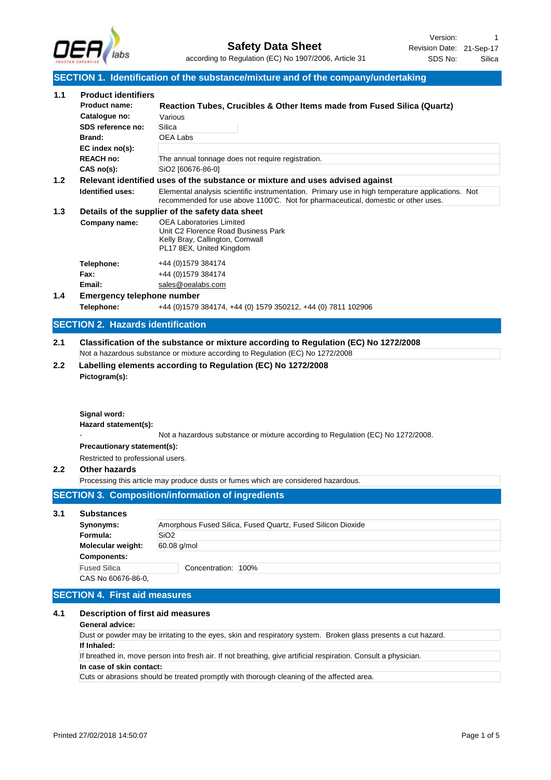

|                  |                                                                     | SECTION 1. Identification of the substance/mixture and of the company/undertaking                                                                                                     |
|------------------|---------------------------------------------------------------------|---------------------------------------------------------------------------------------------------------------------------------------------------------------------------------------|
| 1.1              | <b>Product identifiers</b><br><b>Product name:</b><br>Catalogue no: | Reaction Tubes, Crucibles & Other Items made from Fused Silica (Quartz)                                                                                                               |
|                  | SDS reference no:                                                   | Various<br>Silica                                                                                                                                                                     |
|                  | Brand:                                                              | OEA Labs                                                                                                                                                                              |
|                  | EC index no(s):                                                     |                                                                                                                                                                                       |
|                  | <b>REACH no:</b>                                                    | The annual tonnage does not require registration.                                                                                                                                     |
|                  | CAS no(s):                                                          | SiO2 [60676-86-0]                                                                                                                                                                     |
| 1.2 <sub>2</sub> |                                                                     | Relevant identified uses of the substance or mixture and uses advised against                                                                                                         |
|                  | <b>Identified uses:</b>                                             | Elemental analysis scientific instrumentation. Primary use in high temperature applications. Not<br>recommended for use above 1100'C. Not for pharmaceutical, domestic or other uses. |
| 1.3              |                                                                     | Details of the supplier of the safety data sheet                                                                                                                                      |
|                  | Company name:                                                       | <b>OEA Laboratories Limited</b><br>Unit C2 Florence Road Business Park<br>Kelly Bray, Callington, Cornwall<br>PL17 8EX, United Kingdom                                                |
|                  | Telephone:                                                          | +44 (0) 1579 384174                                                                                                                                                                   |
|                  | Fax:                                                                | +44 (0) 1579 384174                                                                                                                                                                   |
|                  | Email:                                                              | sales@oealabs.com                                                                                                                                                                     |
| 1.4              | <b>Emergency telephone number</b>                                   |                                                                                                                                                                                       |
|                  | Telephone:                                                          | +44 (0) 1579 384174, +44 (0) 1579 350212, +44 (0) 7811 102906                                                                                                                         |
|                  | <b>SECTION 2. Hazards identification</b>                            |                                                                                                                                                                                       |
|                  |                                                                     |                                                                                                                                                                                       |
| 2.1              |                                                                     | Classification of the substance or mixture according to Regulation (EC) No 1272/2008<br>Not a hazardous substance or mixture according to Regulation (EC) No 1272/2008                |
| 2.2              | Pictogram(s):                                                       | Labelling elements according to Regulation (EC) No 1272/2008                                                                                                                          |
|                  | Signal word:<br>Hazard statement(s):                                |                                                                                                                                                                                       |
|                  |                                                                     | Not a hazardous substance or mixture according to Regulation (EC) No 1272/2008.                                                                                                       |
|                  | Precautionary statement(s):                                         |                                                                                                                                                                                       |
|                  | Restricted to professional users.                                   |                                                                                                                                                                                       |
| 2.2              | Other hazards                                                       |                                                                                                                                                                                       |
|                  |                                                                     | Processing this article may produce dusts or fumes which are considered hazardous.                                                                                                    |
|                  |                                                                     |                                                                                                                                                                                       |
|                  |                                                                     | <b>SECTION 3. Composition/information of ingredients</b>                                                                                                                              |
| 3.1              | <b>Substances</b>                                                   |                                                                                                                                                                                       |
|                  | Synonyms:                                                           | Amorphous Fused Silica, Fused Quartz, Fused Silicon Dioxide                                                                                                                           |
|                  | Formula:                                                            | SiO <sub>2</sub>                                                                                                                                                                      |
|                  | Molecular weight:                                                   | 60.08 g/mol                                                                                                                                                                           |
|                  | <b>Components:</b>                                                  |                                                                                                                                                                                       |
|                  |                                                                     |                                                                                                                                                                                       |
|                  | <b>Fused Silica</b>                                                 | Concentration: 100%                                                                                                                                                                   |
|                  | CAS No 60676-86-0,                                                  |                                                                                                                                                                                       |
|                  | <b>SECTION 4. First aid measures</b>                                |                                                                                                                                                                                       |

Dust or powder may be irritating to the eyes, skin and respiratory system. Broken glass presents a cut hazard. **If Inhaled:**

If breathed in, move person into fresh air. If not breathing, give artificial respiration. Consult a physician.

#### **In case of skin contact:**

Cuts or abrasions should be treated promptly with thorough cleaning of the affected area.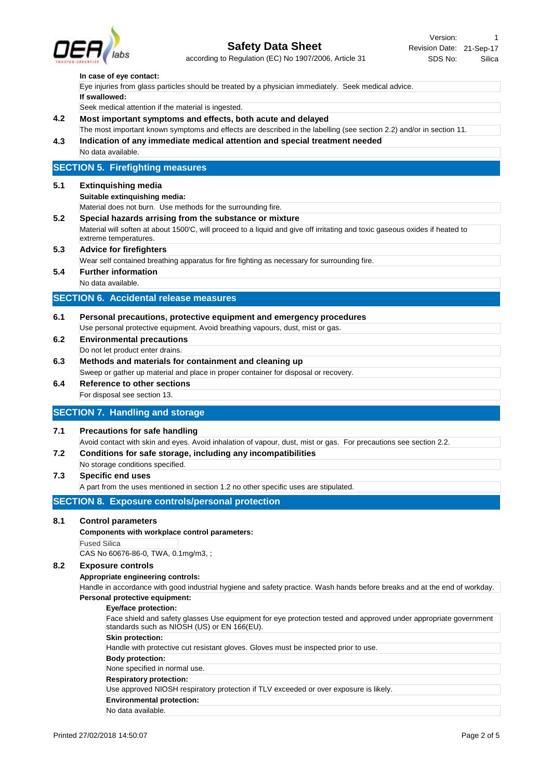

# according to Regulation (EC) No 1907/2006, Article 31 **Safety Data Sheet**

#### **In case of eye contact:**

| Eye injuries from glass particles should be treated by a physician immediately. Seek medical advice. |  |
|------------------------------------------------------------------------------------------------------|--|
| If swallowed:                                                                                        |  |
| Seek medical attention if the material is ingested.                                                  |  |

## **4.2 Most important symptoms and effects, both acute and delayed**

**4.3 Indication of any immediate medical attention and special treatment needed** The most important known symptoms and effects are described in the labelling (see section 2.2) and/or in section 11.

No data available.

# **SECTION 5. Firefighting measures**

#### **5.1 Extinquishing media**

**Suitable extinquishing media:**

Material does not burn. Use methods for the surrounding fire.

**5.2 Special hazards arrising from the substance or mixture** Material will soften at about 1500'C, will proceed to a liquid and give off irritating and toxic gaseous oxides if heated to extreme temperatures.

# **5.3 Advice for firefighters**

Wear self contained breathing apparatus for fire fighting as necessary for surrounding fire.

**5.4 Further information** No data available.

#### **SECTION 6. Accidental release measures**

- **6.1 Personal precautions, protective equipment and emergency procedures** Use personal protective equipment. Avoid breathing vapours, dust, mist or gas.
- **6.2 Environmental precautions** Do not let product enter drains.
- **6.3 Methods and materials for containment and cleaning up** Sweep or gather up material and place in proper container for disposal or recovery.
- **6.4 Reference to other sections** For disposal see section 13.

# **SECTION 7. Handling and storage**

## **7.1 Precautions for safe handling**

Avoid contact with skin and eyes. Avoid inhalation of vapour, dust, mist or gas. For precautions see section 2.2.

- **7.2 Conditions for safe storage, including any incompatibilities**
- No storage conditions specified.

# **7.3 Specific end uses**

A part from the uses mentioned in section 1.2 no other specific uses are stipulated.

# **SECTION 8. Exposure controls/personal protection**

#### **8.1 Control parameters**

**Components with workplace control parameters:**

#### Fused Silica

CAS No 60676-86-0, TWA, 0.1mg/m3, ;

## **8.2 Exposure controls**

**Appropriate engineering controls:**

Handle in accordance with good industrial hygiene and safety practice. Wash hands before breaks and at the end of workday. **Personal protective equipment:**

#### **Eye/face protection:**

Face shield and safety glasses Use equipment for eye protection tested and approved under appropriate government standards such as NIOSH (US) or EN 166(EU).

#### **Skin protection:**

Handle with protective cut resistant gloves. Gloves must be inspected prior to use.

#### **Body protection:**

None specified in normal use.

#### **Respiratory protection:**

Use approved NIOSH respiratory protection if TLV exceeded or over exposure is likely.

**Environmental protection:**

No data available.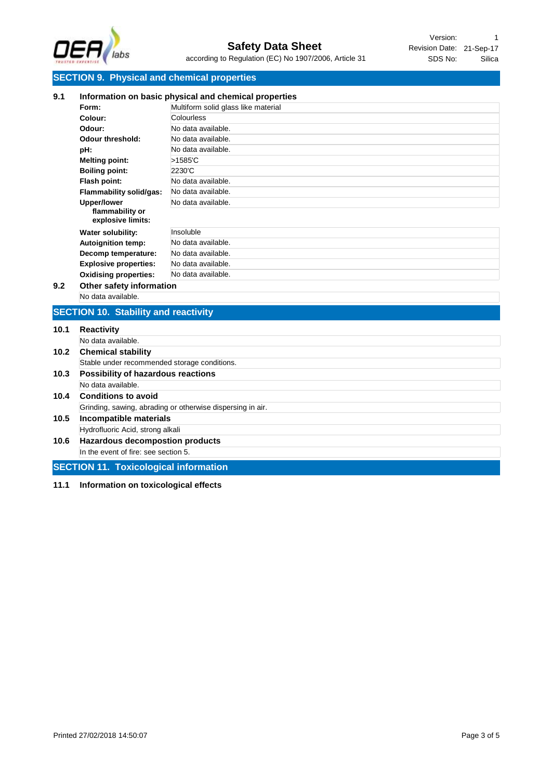

# **SECTION 9. Physical and chemical properties**

| 9.1  |                                                            | Information on basic physical and chemical properties |  |  |
|------|------------------------------------------------------------|-------------------------------------------------------|--|--|
|      | Form:                                                      | Multiform solid glass like material                   |  |  |
|      | Colour:                                                    | Colourless                                            |  |  |
|      | Odour:                                                     | No data available.                                    |  |  |
|      | Odour threshold:                                           | No data available.                                    |  |  |
|      | pH:                                                        | No data available.                                    |  |  |
|      | <b>Melting point:</b>                                      | >1585'C                                               |  |  |
|      | <b>Boiling point:</b>                                      | 2230°C                                                |  |  |
|      | Flash point:                                               | No data available.                                    |  |  |
|      | <b>Flammability solid/gas:</b>                             | No data available.                                    |  |  |
|      | <b>Upper/lower</b>                                         | No data available.                                    |  |  |
|      | flammability or<br>explosive limits:                       |                                                       |  |  |
|      | Water solubility:                                          | Insoluble                                             |  |  |
|      | <b>Autoignition temp:</b>                                  | No data available.                                    |  |  |
|      | Decomp temperature:                                        | No data available.                                    |  |  |
|      | <b>Explosive properties:</b>                               | No data available.                                    |  |  |
|      | <b>Oxidising properties:</b>                               | No data available.                                    |  |  |
| 9.2  | Other safety information                                   |                                                       |  |  |
|      | No data available.                                         |                                                       |  |  |
|      | <b>SECTION 10. Stability and reactivity</b>                |                                                       |  |  |
| 10.1 | <b>Reactivity</b>                                          |                                                       |  |  |
|      | No data available.                                         |                                                       |  |  |
| 10.2 | <b>Chemical stability</b>                                  |                                                       |  |  |
|      | Stable under recommended storage conditions.               |                                                       |  |  |
| 10.3 | Possibility of hazardous reactions                         |                                                       |  |  |
|      | No data available.                                         |                                                       |  |  |
| 10.4 | <b>Conditions to avoid</b>                                 |                                                       |  |  |
|      | Grinding, sawing, abrading or otherwise dispersing in air. |                                                       |  |  |
| 10.5 | <b>Incompatible materials</b>                              |                                                       |  |  |
|      | Hydrofluoric Acid, strong alkali                           |                                                       |  |  |
| 10.6 | <b>Hazardous decompostion products</b>                     |                                                       |  |  |
|      | In the event of fire: see section 5.                       |                                                       |  |  |
|      | <b>SECTION 11. Toxicological information</b>               |                                                       |  |  |

**11.1 Information on toxicological effects**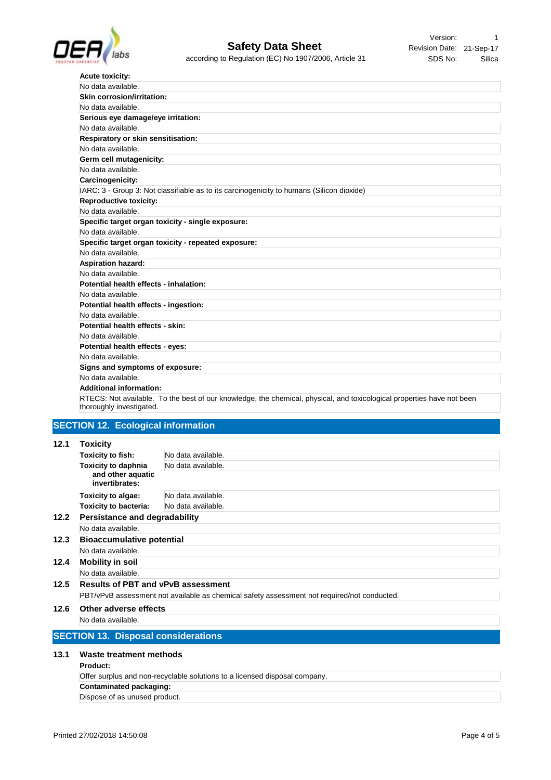

Revision Date: 21-Sep-17 Version: 1 SDS No: Silica

| <b>Acute toxicity:</b>                                                                                                                             |
|----------------------------------------------------------------------------------------------------------------------------------------------------|
| No data available.                                                                                                                                 |
| <b>Skin corrosion/irritation:</b>                                                                                                                  |
| No data available.                                                                                                                                 |
| Serious eye damage/eye irritation:                                                                                                                 |
| No data available.                                                                                                                                 |
| <b>Respiratory or skin sensitisation:</b>                                                                                                          |
| No data available.                                                                                                                                 |
| Germ cell mutagenicity:                                                                                                                            |
| No data available.                                                                                                                                 |
| Carcinogenicity:                                                                                                                                   |
| IARC: 3 - Group 3: Not classifiable as to its carcinogenicity to humans (Silicon dioxide)                                                          |
| <b>Reproductive toxicity:</b>                                                                                                                      |
| No data available.                                                                                                                                 |
| Specific target organ toxicity - single exposure:                                                                                                  |
| No data available.                                                                                                                                 |
| Specific target organ toxicity - repeated exposure:                                                                                                |
| No data available.                                                                                                                                 |
| <b>Aspiration hazard:</b>                                                                                                                          |
| No data available.                                                                                                                                 |
| Potential health effects - inhalation:                                                                                                             |
| No data available.                                                                                                                                 |
| Potential health effects - ingestion:                                                                                                              |
| No data available.                                                                                                                                 |
| Potential health effects - skin:                                                                                                                   |
| No data available.                                                                                                                                 |
| Potential health effects - eyes:                                                                                                                   |
| No data available.                                                                                                                                 |
| Signs and symptoms of exposure:                                                                                                                    |
| No data available.                                                                                                                                 |
| <b>Additional information:</b>                                                                                                                     |
| RTECS: Not available. To the best of our knowledge, the chemical, physical, and toxicological properties have not been<br>thoroughly investigated. |

# **SECTION 12. Ecological information**

# **12.1 Toxicity**

|      | <b>IVAIVILY</b>                                                                             |                    |
|------|---------------------------------------------------------------------------------------------|--------------------|
|      | <b>Toxicity to fish:</b>                                                                    | No data available. |
|      | <b>Toxicity to daphnia</b>                                                                  | No data available. |
|      | and other aquatic<br>invertibrates:                                                         |                    |
|      | Toxicity to algae:                                                                          | No data available. |
|      | <b>Toxicity to bacteria:</b>                                                                | No data available. |
| 12.2 | <b>Persistance and degradability</b>                                                        |                    |
|      | No data available.                                                                          |                    |
| 12.3 | <b>Bioaccumulative potential</b>                                                            |                    |
|      | No data available.                                                                          |                    |
| 12.4 | <b>Mobility in soil</b>                                                                     |                    |
|      | No data available.                                                                          |                    |
| 12.5 | <b>Results of PBT and vPvB assessment</b>                                                   |                    |
|      | PBT/vPvB assessment not available as chemical safety assessment not required/not conducted. |                    |
| 12.6 | Other adverse effects                                                                       |                    |
|      | No data available.                                                                          |                    |

#### **13.1 Waste treatment methods**

### **Product:**

| Offer surplus and non-recyclable solutions to a licensed disposal company. |
|----------------------------------------------------------------------------|
| Contaminated packaging:                                                    |
| Dispose of as unused product.                                              |